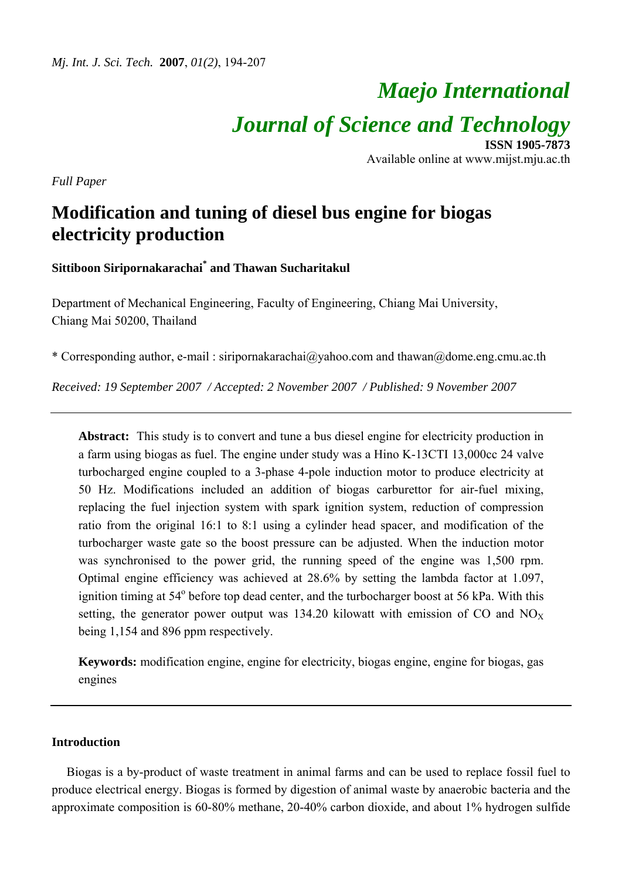# *Maejo International Journal of Science and Technology* **ISSN 1905-7873**

Available online at www.mijst.mju.ac.th

*Full Paper* 

## **Modification and tuning of diesel bus engine for biogas electricity production**

**Sittiboon Siripornakarachai\* and Thawan Sucharitakul**

Department of Mechanical Engineering, Faculty of Engineering, Chiang Mai University, Chiang Mai 50200, Thailand

\* Corresponding author, e-mail : siripornakarachai@yahoo.com and thawan@dome.eng.cmu.ac.th

*Received: 19 September 2007 / Accepted: 2 November 2007 / Published: 9 November 2007* 

**Abstract:** This study is to convert and tune a bus diesel engine for electricity production in a farm using biogas as fuel. The engine under study was a Hino K-13CTI 13,000cc 24 valve turbocharged engine coupled to a 3-phase 4-pole induction motor to produce electricity at 50 Hz. Modifications included an addition of biogas carburettor for air-fuel mixing, replacing the fuel injection system with spark ignition system, reduction of compression ratio from the original 16:1 to 8:1 using a cylinder head spacer, and modification of the turbocharger waste gate so the boost pressure can be adjusted. When the induction motor was synchronised to the power grid, the running speed of the engine was 1,500 rpm. Optimal engine efficiency was achieved at 28.6% by setting the lambda factor at 1.097, ignition timing at  $54^{\circ}$  before top dead center, and the turbocharger boost at  $56$  kPa. With this setting, the generator power output was 134.20 kilowatt with emission of CO and  $NO<sub>X</sub>$ being 1,154 and 896 ppm respectively.

**Keywords:** modification engine, engine for electricity, biogas engine, engine for biogas, gas engines

## **Introduction**

Biogas is a by-product of waste treatment in animal farms and can be used to replace fossil fuel to produce electrical energy. Biogas is formed by digestion of animal waste by anaerobic bacteria and the approximate composition is 60-80% methane, 20-40% carbon dioxide, and about 1% hydrogen sulfide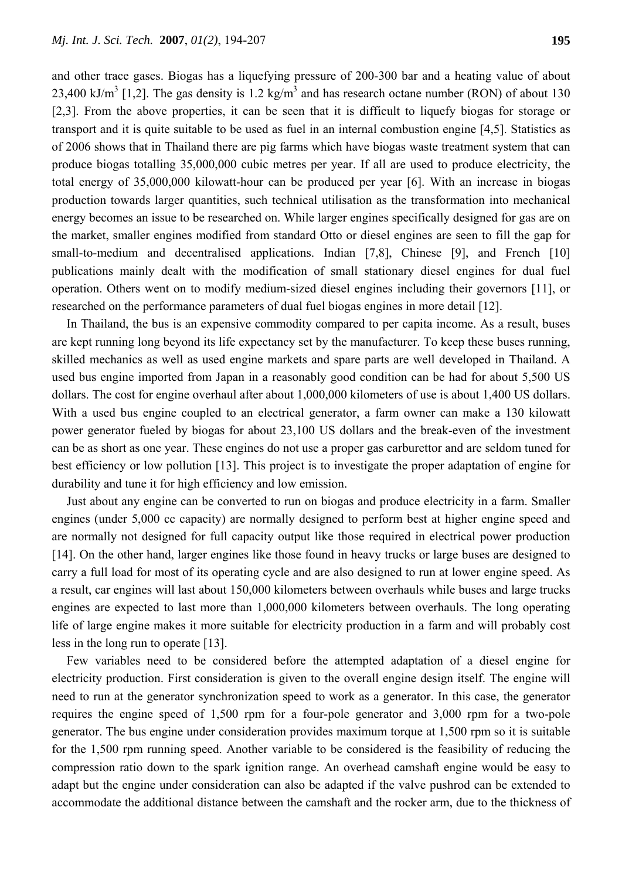and other trace gases. Biogas has a liquefying pressure of 200-300 bar and a heating value of about 23,400 kJ/m<sup>3</sup> [1,2]. The gas density is 1.2 kg/m<sup>3</sup> and has research octane number (RON) of about 130 [2,3]. From the above properties, it can be seen that it is difficult to liquefy biogas for storage or transport and it is quite suitable to be used as fuel in an internal combustion engine [4,5]. Statistics as of 2006 shows that in Thailand there are pig farms which have biogas waste treatment system that can produce biogas totalling 35,000,000 cubic metres per year. If all are used to produce electricity, the total energy of 35,000,000 kilowatt-hour can be produced per year [6]. With an increase in biogas production towards larger quantities, such technical utilisation as the transformation into mechanical energy becomes an issue to be researched on. While larger engines specifically designed for gas are on the market, smaller engines modified from standard Otto or diesel engines are seen to fill the gap for small-to-medium and decentralised applications. Indian [7,8], Chinese [9], and French [10] publications mainly dealt with the modification of small stationary diesel engines for dual fuel operation. Others went on to modify medium-sized diesel engines including their governors [11], or researched on the performance parameters of dual fuel biogas engines in more detail [12].

In Thailand, the bus is an expensive commodity compared to per capita income. As a result, buses are kept running long beyond its life expectancy set by the manufacturer. To keep these buses running, skilled mechanics as well as used engine markets and spare parts are well developed in Thailand. A used bus engine imported from Japan in a reasonably good condition can be had for about 5,500 US dollars. The cost for engine overhaul after about 1,000,000 kilometers of use is about 1,400 US dollars. With a used bus engine coupled to an electrical generator, a farm owner can make a 130 kilowatt power generator fueled by biogas for about 23,100 US dollars and the break-even of the investment can be as short as one year. These engines do not use a proper gas carburettor and are seldom tuned for best efficiency or low pollution [13]. This project is to investigate the proper adaptation of engine for durability and tune it for high efficiency and low emission.

Just about any engine can be converted to run on biogas and produce electricity in a farm. Smaller engines (under 5,000 cc capacity) are normally designed to perform best at higher engine speed and are normally not designed for full capacity output like those required in electrical power production [14]. On the other hand, larger engines like those found in heavy trucks or large buses are designed to carry a full load for most of its operating cycle and are also designed to run at lower engine speed. As a result, car engines will last about 150,000 kilometers between overhauls while buses and large trucks engines are expected to last more than 1,000,000 kilometers between overhauls. The long operating life of large engine makes it more suitable for electricity production in a farm and will probably cost less in the long run to operate [13].

Few variables need to be considered before the attempted adaptation of a diesel engine for electricity production. First consideration is given to the overall engine design itself. The engine will need to run at the generator synchronization speed to work as a generator. In this case, the generator requires the engine speed of 1,500 rpm for a four-pole generator and 3,000 rpm for a two-pole generator. The bus engine under consideration provides maximum torque at 1,500 rpm so it is suitable for the 1,500 rpm running speed. Another variable to be considered is the feasibility of reducing the compression ratio down to the spark ignition range. An overhead camshaft engine would be easy to adapt but the engine under consideration can also be adapted if the valve pushrod can be extended to accommodate the additional distance between the camshaft and the rocker arm, due to the thickness of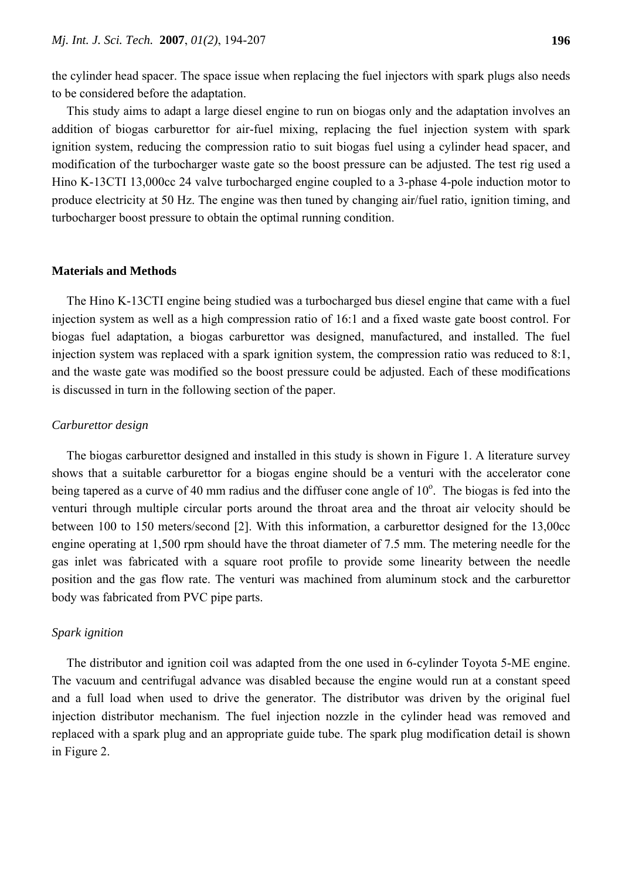the cylinder head spacer. The space issue when replacing the fuel injectors with spark plugs also needs to be considered before the adaptation.

This study aims to adapt a large diesel engine to run on biogas only and the adaptation involves an addition of biogas carburettor for air-fuel mixing, replacing the fuel injection system with spark ignition system, reducing the compression ratio to suit biogas fuel using a cylinder head spacer, and modification of the turbocharger waste gate so the boost pressure can be adjusted. The test rig used a Hino K-13CTI 13,000cc 24 valve turbocharged engine coupled to a 3-phase 4-pole induction motor to produce electricity at 50 Hz. The engine was then tuned by changing air/fuel ratio, ignition timing, and turbocharger boost pressure to obtain the optimal running condition.

## **Materials and Methods**

The Hino K-13CTI engine being studied was a turbocharged bus diesel engine that came with a fuel injection system as well as a high compression ratio of 16:1 and a fixed waste gate boost control. For biogas fuel adaptation, a biogas carburettor was designed, manufactured, and installed. The fuel injection system was replaced with a spark ignition system, the compression ratio was reduced to 8:1, and the waste gate was modified so the boost pressure could be adjusted. Each of these modifications is discussed in turn in the following section of the paper.

## *Carburettor design*

The biogas carburettor designed and installed in this study is shown in Figure 1. A literature survey shows that a suitable carburettor for a biogas engine should be a venturi with the accelerator cone being tapered as a curve of 40 mm radius and the diffuser cone angle of  $10^{\circ}$ . The biogas is fed into the venturi through multiple circular ports around the throat area and the throat air velocity should be between 100 to 150 meters/second [2]. With this information, a carburettor designed for the 13,00cc engine operating at 1,500 rpm should have the throat diameter of 7.5 mm. The metering needle for the gas inlet was fabricated with a square root profile to provide some linearity between the needle position and the gas flow rate. The venturi was machined from aluminum stock and the carburettor body was fabricated from PVC pipe parts.

## *Spark ignition*

The distributor and ignition coil was adapted from the one used in 6-cylinder Toyota 5-ME engine. The vacuum and centrifugal advance was disabled because the engine would run at a constant speed and a full load when used to drive the generator. The distributor was driven by the original fuel injection distributor mechanism. The fuel injection nozzle in the cylinder head was removed and replaced with a spark plug and an appropriate guide tube. The spark plug modification detail is shown in Figure 2.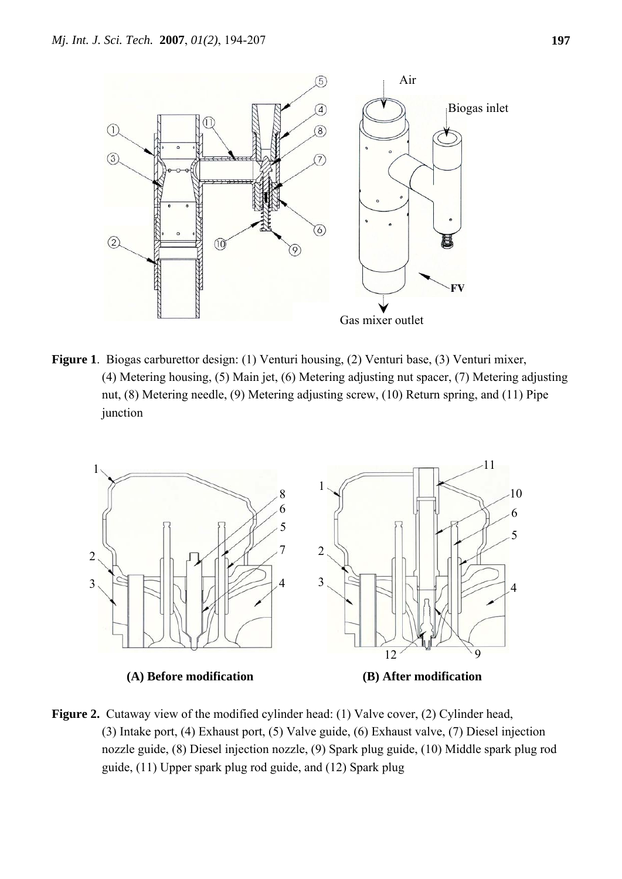

**Figure 1**. Biogas carburettor design: (1) Venturi housing, (2) Venturi base, (3) Venturi mixer, (4) Metering housing, (5) Main jet, (6) Metering adjusting nut spacer, (7) Metering adjusting nut, (8) Metering needle, (9) Metering adjusting screw, (10) Return spring, and (11) Pipe junction



**Figure 2.** Cutaway view of the modified cylinder head: (1) Valve cover, (2) Cylinder head, (3) Intake port, (4) Exhaust port, (5) Valve guide, (6) Exhaust valve, (7) Diesel injection nozzle guide, (8) Diesel injection nozzle, (9) Spark plug guide, (10) Middle spark plug rod guide, (11) Upper spark plug rod guide, and (12) Spark plug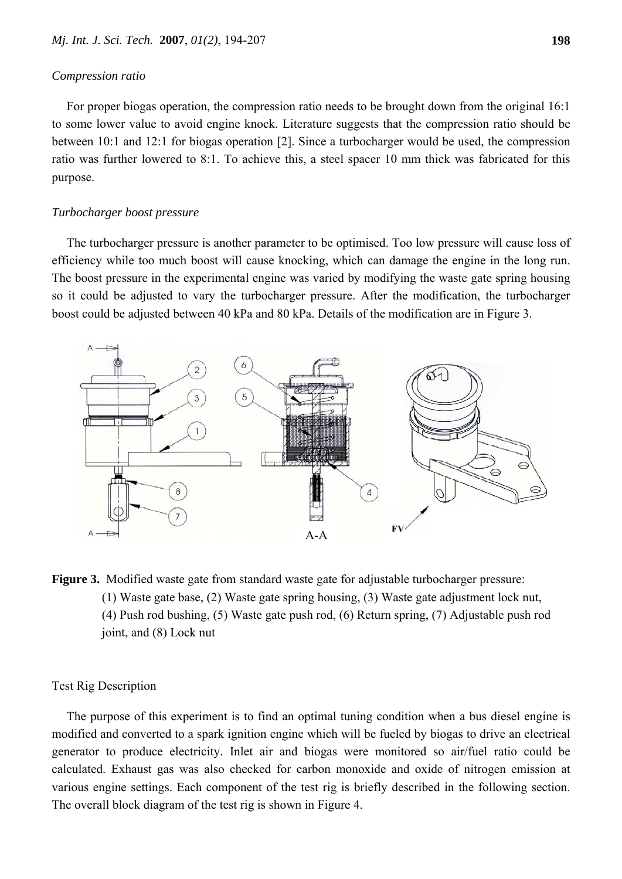#### *Compression ratio*

For proper biogas operation, the compression ratio needs to be brought down from the original 16:1 to some lower value to avoid engine knock. Literature suggests that the compression ratio should be between 10:1 and 12:1 for biogas operation [2]. Since a turbocharger would be used, the compression ratio was further lowered to 8:1. To achieve this, a steel spacer 10 mm thick was fabricated for this purpose.

#### *Turbocharger boost pressure*

The turbocharger pressure is another parameter to be optimised. Too low pressure will cause loss of efficiency while too much boost will cause knocking, which can damage the engine in the long run. The boost pressure in the experimental engine was varied by modifying the waste gate spring housing so it could be adjusted to vary the turbocharger pressure. After the modification, the turbocharger boost could be adjusted between 40 kPa and 80 kPa. Details of the modification are in Figure 3.



**Figure 3.** Modified waste gate from standard waste gate for adjustable turbocharger pressure: (1) Waste gate base, (2) Waste gate spring housing, (3) Waste gate adjustment lock nut, (4) Push rod bushing, (5) Waste gate push rod, (6) Return spring, (7) Adjustable push rod joint, and (8) Lock nut

## Test Rig Description

The purpose of this experiment is to find an optimal tuning condition when a bus diesel engine is modified and converted to a spark ignition engine which will be fueled by biogas to drive an electrical generator to produce electricity. Inlet air and biogas were monitored so air/fuel ratio could be calculated. Exhaust gas was also checked for carbon monoxide and oxide of nitrogen emission at various engine settings. Each component of the test rig is briefly described in the following section. The overall block diagram of the test rig is shown in Figure 4.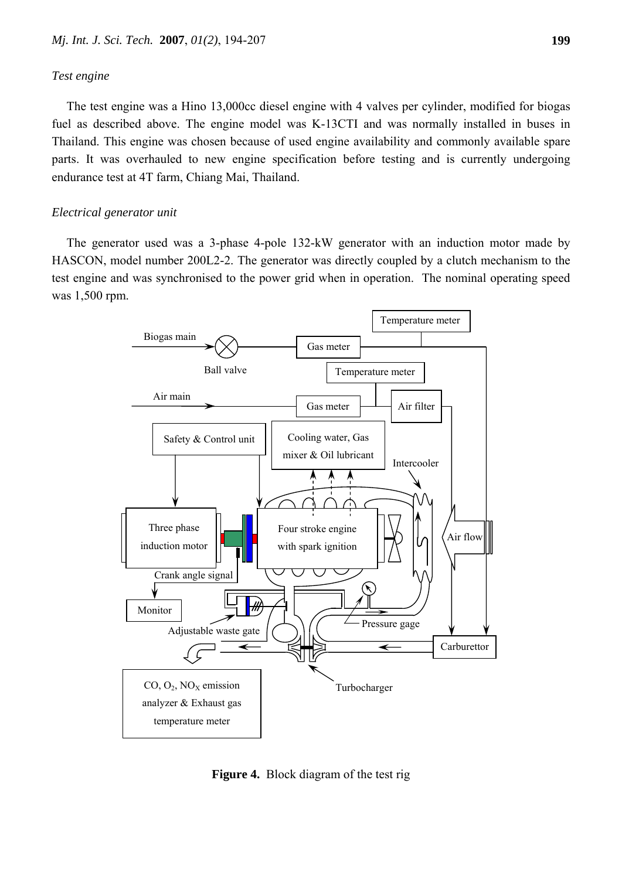#### *Test engine*

The test engine was a Hino 13,000cc diesel engine with 4 valves per cylinder, modified for biogas fuel as described above. The engine model was K-13CTI and was normally installed in buses in Thailand. This engine was chosen because of used engine availability and commonly available spare parts. It was overhauled to new engine specification before testing and is currently undergoing endurance test at 4T farm, Chiang Mai, Thailand.

#### *Electrical generator unit*

The generator used was a 3-phase 4-pole 132-kW generator with an induction motor made by HASCON, model number 200L2-2. The generator was directly coupled by a clutch mechanism to the test engine and was synchronised to the power grid when in operation. The nominal operating speed was 1,500 rpm.



**Figure 4.** Block diagram of the test rig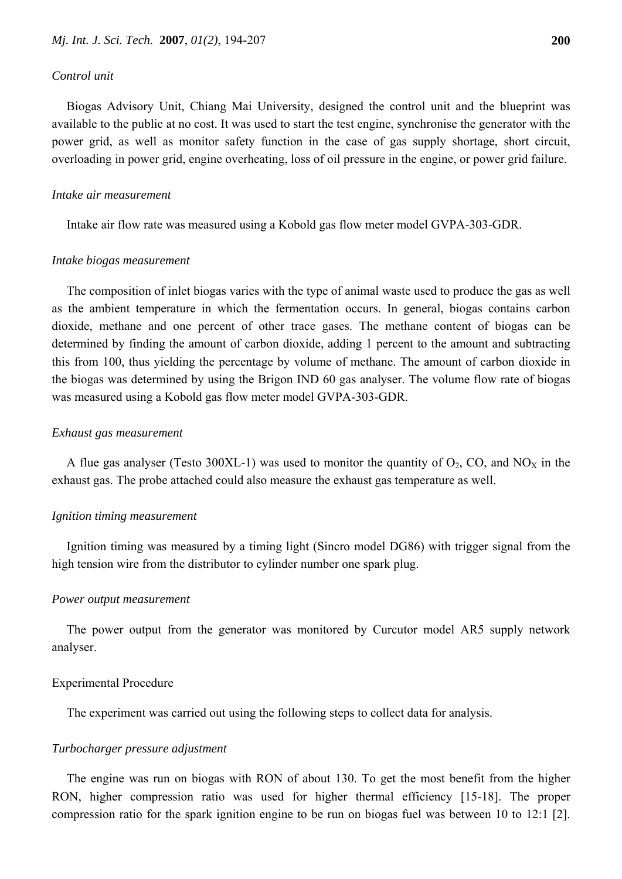#### *Control unit*

Biogas Advisory Unit, Chiang Mai University, designed the control unit and the blueprint was available to the public at no cost. It was used to start the test engine, synchronise the generator with the power grid, as well as monitor safety function in the case of gas supply shortage, short circuit, overloading in power grid, engine overheating, loss of oil pressure in the engine, or power grid failure.

#### *Intake air measurement*

Intake air flow rate was measured using a Kobold gas flow meter model GVPA-303-GDR.

#### *Intake biogas measurement*

The composition of inlet biogas varies with the type of animal waste used to produce the gas as well as the ambient temperature in which the fermentation occurs. In general, biogas contains carbon dioxide, methane and one percent of other trace gases. The methane content of biogas can be determined by finding the amount of carbon dioxide, adding 1 percent to the amount and subtracting this from 100, thus yielding the percentage by volume of methane. The amount of carbon dioxide in the biogas was determined by using the Brigon IND 60 gas analyser. The volume flow rate of biogas was measured using a Kobold gas flow meter model GVPA-303-GDR.

#### *Exhaust gas measurement*

A flue gas analyser (Testo 300XL-1) was used to monitor the quantity of  $O_2$ , CO, and NO<sub>X</sub> in the exhaust gas. The probe attached could also measure the exhaust gas temperature as well.

#### *Ignition timing measurement*

Ignition timing was measured by a timing light (Sincro model DG86) with trigger signal from the high tension wire from the distributor to cylinder number one spark plug.

#### *Power output measurement*

The power output from the generator was monitored by Curcutor model AR5 supply network analyser.

#### Experimental Procedure

The experiment was carried out using the following steps to collect data for analysis.

#### *Turbocharger pressure adjustment*

The engine was run on biogas with RON of about 130. To get the most benefit from the higher RON, higher compression ratio was used for higher thermal efficiency [15-18]. The proper compression ratio for the spark ignition engine to be run on biogas fuel was between 10 to 12:1 [2].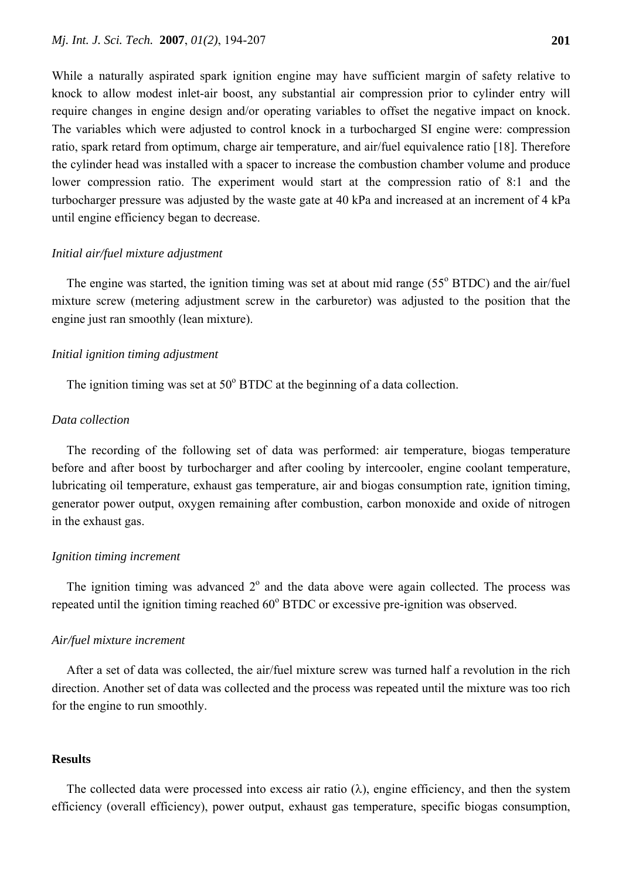ratio, spark retard from optimum, charge air temperature, and air/fuel equivalence ratio [18]. Therefore the cylinder head was installed with a spacer to increase the combustion chamber volume and produce lower compression ratio. The experiment would start at the compression ratio of 8:1 and the turbocharger pressure was adjusted by the waste gate at 40 kPa and increased at an increment of 4 kPa until engine efficiency began to decrease.

## *Initial air/fuel mixture adjustment*

The engine was started, the ignition timing was set at about mid range  $(55^{\circ} B TDC)$  and the air/fuel mixture screw (metering adjustment screw in the carburetor) was adjusted to the position that the engine just ran smoothly (lean mixture).

## *Initial ignition timing adjustment*

The ignition timing was set at  $50^{\circ}$  BTDC at the beginning of a data collection.

## *Data collection*

The recording of the following set of data was performed: air temperature, biogas temperature before and after boost by turbocharger and after cooling by intercooler, engine coolant temperature, lubricating oil temperature, exhaust gas temperature, air and biogas consumption rate, ignition timing, generator power output, oxygen remaining after combustion, carbon monoxide and oxide of nitrogen in the exhaust gas.

## *Ignition timing increment*

The ignition timing was advanced  $2^{\circ}$  and the data above were again collected. The process was repeated until the ignition timing reached 60° BTDC or excessive pre-ignition was observed.

#### *Air/fuel mixture increment*

After a set of data was collected, the air/fuel mixture screw was turned half a revolution in the rich direction. Another set of data was collected and the process was repeated until the mixture was too rich for the engine to run smoothly.

#### **Results**

The collected data were processed into excess air ratio  $(\lambda)$ , engine efficiency, and then the system efficiency (overall efficiency), power output, exhaust gas temperature, specific biogas consumption,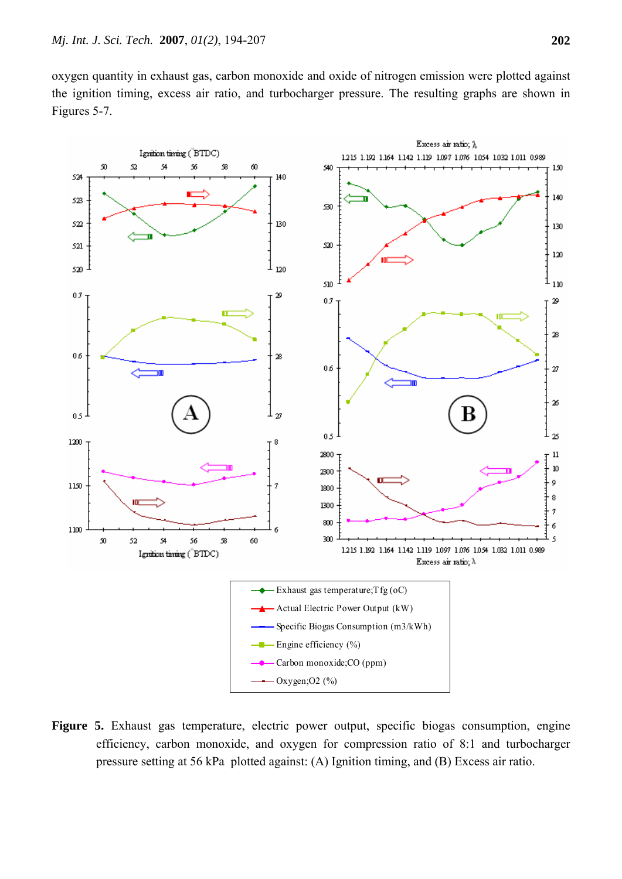oxygen quantity in exhaust gas, carbon monoxide and oxide of nitrogen emission were plotted against the ignition timing, excess air ratio, and turbocharger pressure. The resulting graphs are shown in Figures 5-7.



**Figure 5.** Exhaust gas temperature, electric power output, specific biogas consumption, engine efficiency, carbon monoxide, and oxygen for compression ratio of 8:1 and turbocharger pressure setting at 56 kPa plotted against: (A) Ignition timing, and (B) Excess air ratio.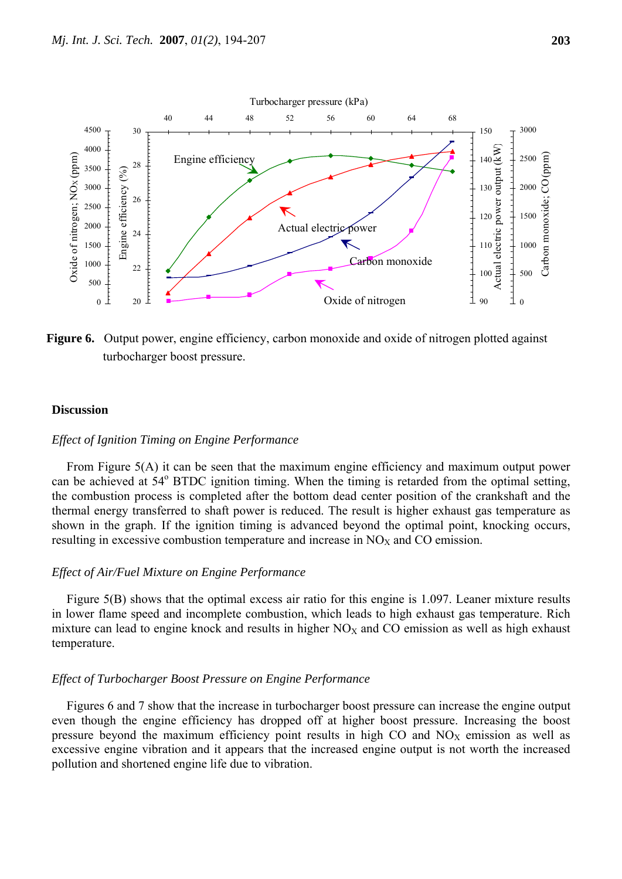

**Figure 6.** Output power, engine efficiency, carbon monoxide and oxide of nitrogen plotted against turbocharger boost pressure.

#### **Discussion**

## *Effect of Ignition Timing on Engine Performance*

From Figure 5(A) it can be seen that the maximum engine efficiency and maximum output power can be achieved at 54° BTDC ignition timing. When the timing is retarded from the optimal setting, the combustion process is completed after the bottom dead center position of the crankshaft and the thermal energy transferred to shaft power is reduced. The result is higher exhaust gas temperature as shown in the graph. If the ignition timing is advanced beyond the optimal point, knocking occurs, resulting in excessive combustion temperature and increase in  $NO<sub>X</sub>$  and CO emission.

#### *Effect of Air/Fuel Mixture on Engine Performance*

Figure 5(B) shows that the optimal excess air ratio for this engine is 1.097. Leaner mixture results in lower flame speed and incomplete combustion, which leads to high exhaust gas temperature. Rich mixture can lead to engine knock and results in higher  $NO<sub>X</sub>$  and CO emission as well as high exhaust temperature.

#### *Effect of Turbocharger Boost Pressure on Engine Performance*

Figures 6 and 7 show that the increase in turbocharger boost pressure can increase the engine output even though the engine efficiency has dropped off at higher boost pressure. Increasing the boost pressure beyond the maximum efficiency point results in high CO and  $NO<sub>X</sub>$  emission as well as excessive engine vibration and it appears that the increased engine output is not worth the increased pollution and shortened engine life due to vibration.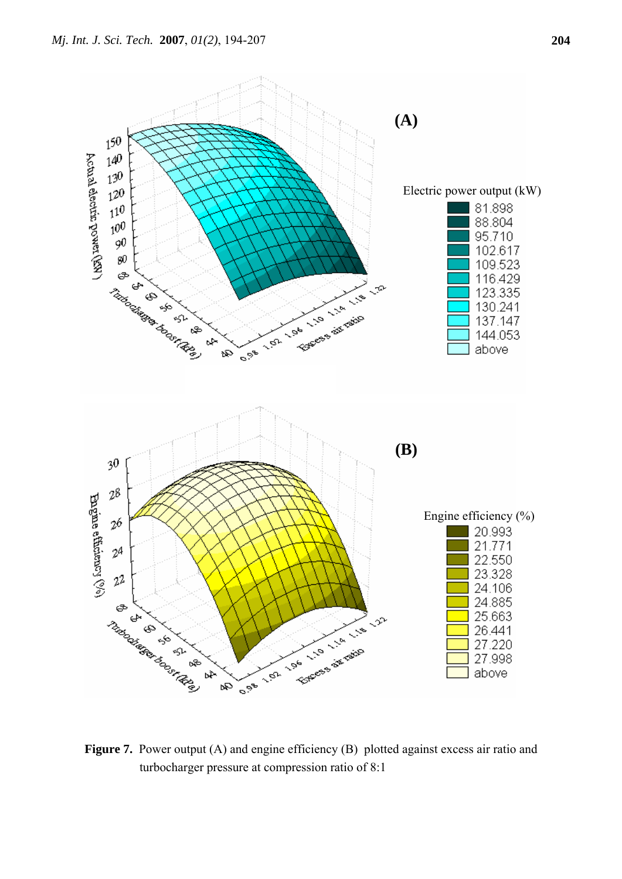

**Figure 7.** Power output (A) and engine efficiency (B) plotted against excess air ratio and turbocharger pressure at compression ratio of 8:1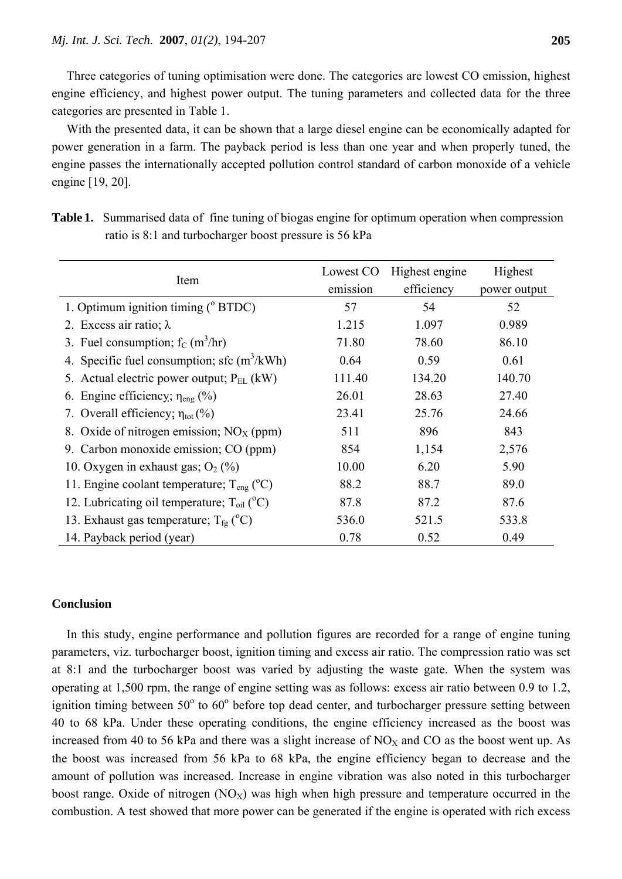Three categories of tuning optimisation were done. The categories are lowest CO emission, highest engine efficiency, and highest power output. The tuning parameters and collected data for the three categories are presented in Table 1.

With the presented data, it can be shown that a large diesel engine can be economically adapted for power generation in a farm. The payback period is less than one year and when properly tuned, the engine passes the internationally accepted pollution control standard of carbon monoxide of a vehicle engine [19, 20].

| Item                                                  | Lowest CO<br>emission | Highest engine<br>efficiency | Highest<br>power output |
|-------------------------------------------------------|-----------------------|------------------------------|-------------------------|
| 1. Optimum ignition timing $(^{\circ}$ BTDC)          | 57                    | 54                           | 52                      |
| 2. Excess air ratio; $\lambda$                        | 1.215                 | 1.097                        | 0.989                   |
| 3. Fuel consumption; $f_C(m^3/hr)$                    | 71.80                 | 78.60                        | 86.10                   |
| 4. Specific fuel consumption; sfc $(m^3/kWh)$         | 0.64                  | 0.59                         | 0.61                    |
| 5. Actual electric power output; $P_{EL}$ (kW)        | 111.40                | 134.20                       | 140.70                  |
| 6. Engine efficiency; $\eta_{eng}$ (%)                | 26.01                 | 28.63                        | 27.40                   |
| 7. Overall efficiency; $\eta_{\text{tot}}$ (%)        | 23.41                 | 25.76                        | 24.66                   |
| 8. Oxide of nitrogen emission; $NOX$ (ppm)            | 511                   | 896                          | 843                     |
| 9. Carbon monoxide emission; CO (ppm)                 | 854                   | 1,154                        | 2,576                   |
| 10. Oxygen in exhaust gas; $O_2$ (%)                  | 10.00                 | 6.20                         | 5.90                    |
| 11. Engine coolant temperature; $T_{eng} (^{\circ}C)$ | 88.2                  | 88.7                         | 89.0                    |
| 12. Lubricating oil temperature; $T_{oil}$ ( $°C$ )   | 87.8                  | 87.2                         | 87.6                    |
| 13. Exhaust gas temperature; $T_{fg}$ (°C)            | 536.0                 | 521.5                        | 533.8                   |
| 14. Payback period (year)                             | 0.78                  | 0.52                         | 0.49                    |

**Table 1.** Summarised data of fine tuning of biogas engine for optimum operation when compression ratio is 8:1 and turbocharger boost pressure is 56 kPa

## **Conclusion**

In this study, engine performance and pollution figures are recorded for a range of engine tuning parameters, viz. turbocharger boost, ignition timing and excess air ratio. The compression ratio was set at 8:1 and the turbocharger boost was varied by adjusting the waste gate. When the system was operating at 1,500 rpm, the range of engine setting was as follows: excess air ratio between 0.9 to 1.2, ignition timing between  $50^{\circ}$  to  $60^{\circ}$  before top dead center, and turbocharger pressure setting between 40 to 68 kPa. Under these operating conditions, the engine efficiency increased as the boost was increased from 40 to 56 kPa and there was a slight increase of  $NO<sub>X</sub>$  and CO as the boost went up. As the boost was increased from 56 kPa to 68 kPa, the engine efficiency began to decrease and the amount of pollution was increased. Increase in engine vibration was also noted in this turbocharger boost range. Oxide of nitrogen  $(NO<sub>X</sub>)$  was high when high pressure and temperature occurred in the combustion. A test showed that more power can be generated if the engine is operated with rich excess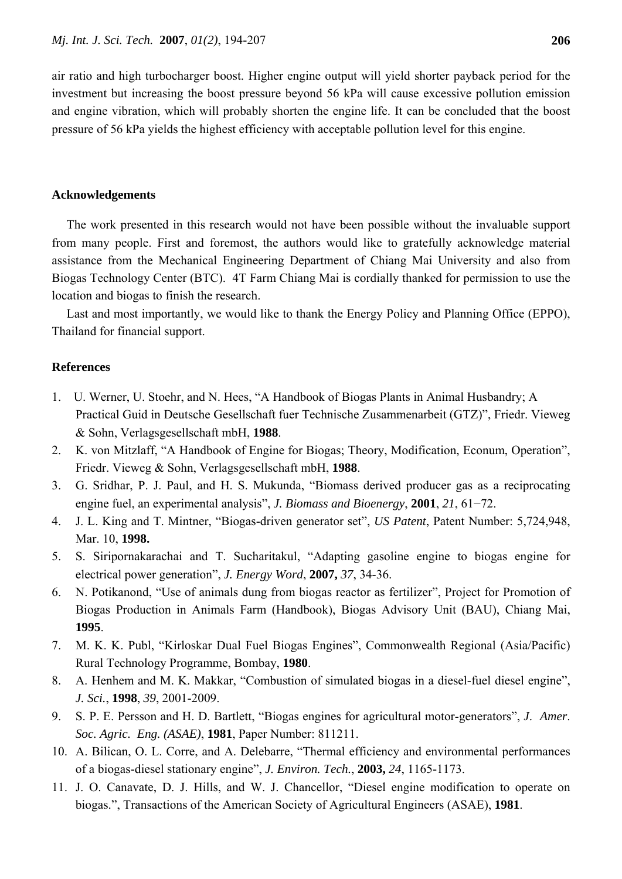air ratio and high turbocharger boost. Higher engine output will yield shorter payback period for the investment but increasing the boost pressure beyond 56 kPa will cause excessive pollution emission and engine vibration, which will probably shorten the engine life. It can be concluded that the boost pressure of 56 kPa yields the highest efficiency with acceptable pollution level for this engine.

## **Acknowledgements**

The work presented in this research would not have been possible without the invaluable support from many people. First and foremost, the authors would like to gratefully acknowledge material assistance from the Mechanical Engineering Department of Chiang Mai University and also from Biogas Technology Center (BTC). 4T Farm Chiang Mai is cordially thanked for permission to use the location and biogas to finish the research.

Last and most importantly, we would like to thank the Energy Policy and Planning Office (EPPO), Thailand for financial support.

#### **References**

- 1. U. Werner, U. Stoehr, and N. Hees, "A Handbook of Biogas Plants in Animal Husbandry; A Practical Guid in Deutsche Gesellschaft fuer Technische Zusammenarbeit (GTZ)", Friedr. Vieweg & Sohn, Verlagsgesellschaft mbH, **1988**.
- 2. K. von Mitzlaff, "A Handbook of Engine for Biogas; Theory, Modification, Econum, Operation", Friedr. Vieweg & Sohn, Verlagsgesellschaft mbH, **1988**.
- 3. G. Sridhar, P. J. Paul, and H. S. Mukunda, "Biomass derived producer gas as a reciprocating engine fuel, an experimental analysis", *J. Biomass and Bioenergy*, **2001**, *21*, 61−72.
- 4. J. L. King and T. Mintner, "Biogas-driven generator set", *US Patent*, Patent Number: 5,724,948, Mar. 10, **1998.**
- 5. S. Siripornakarachai and T. Sucharitakul, "Adapting gasoline engine to biogas engine for electrical power generation", *J. Energy Word*, **2007,** *37*, 34-36.
- 6. N. Potikanond, "Use of animals dung from biogas reactor as fertilizer", Project for Promotion of Biogas Production in Animals Farm (Handbook), Biogas Advisory Unit (BAU), Chiang Mai, **1995**.
- 7. M. K. K. Publ, "Kirloskar Dual Fuel Biogas Engines", Commonwealth Regional (Asia/Pacific) Rural Technology Programme, Bombay, **1980**.
- 8. A. Henhem and M. K. Makkar, "Combustion of simulated biogas in a diesel-fuel diesel engine", *J. Sci.*, **1998**, *39*, 2001-2009.
- 9. S. P. E. Persson and H. D. Bartlett, "Biogas engines for agricultural motor-generators", *J*. *Amer*. *Soc. Agric. Eng. (ASAE)*, **1981**, Paper Number: 811211.
- 10. A. Bilican, O. L. Corre, and A. Delebarre, "Thermal efficiency and environmental performances of a biogas-diesel stationary engine", *J. Environ. Tech.*, **2003,** *24*, 1165-1173.
- 11. J. O. Canavate, D. J. Hills, and W. J. Chancellor, "Diesel engine modification to operate on biogas.", Transactions of the American Society of Agricultural Engineers (ASAE), **1981**.